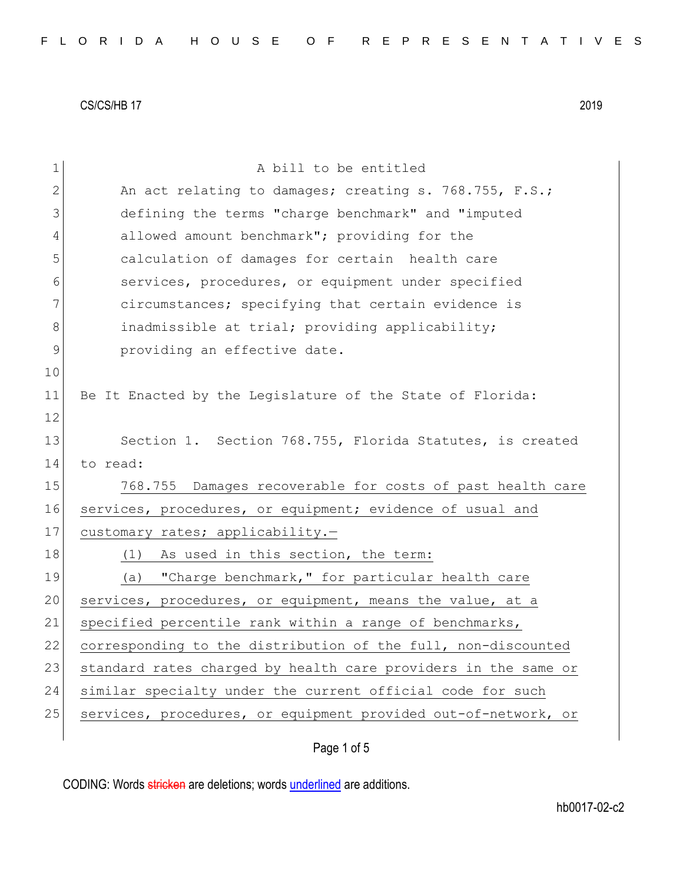| $\mathbf 1$ | A bill to be entitled                                          |
|-------------|----------------------------------------------------------------|
| 2           | An act relating to damages; creating s. 768.755, F.S.;         |
| 3           | defining the terms "charge benchmark" and "imputed             |
| 4           | allowed amount benchmark"; providing for the                   |
| 5           | calculation of damages for certain health care                 |
| 6           | services, procedures, or equipment under specified             |
| 7           | circumstances; specifying that certain evidence is             |
| 8           | inadmissible at trial; providing applicability;                |
| $\mathsf 9$ | providing an effective date.                                   |
| 10          |                                                                |
| 11          | Be It Enacted by the Legislature of the State of Florida:      |
| 12          |                                                                |
| 13          | Section 1. Section 768.755, Florida Statutes, is created       |
| 14          | to read:                                                       |
| 15          | 768.755 Damages recoverable for costs of past health care      |
| 16          | services, procedures, or equipment; evidence of usual and      |
| 17          | customary rates; applicability.-                               |
| 18          | (1)<br>As used in this section, the term:                      |
| 19          | "Charge benchmark," for particular health care<br>(a)          |
| 20          | services, procedures, or equipment, means the value, at a      |
| 21          | specified percentile rank within a range of benchmarks,        |
| 22          | corresponding to the distribution of the full, non-discounted  |
| 23          | standard rates charged by health care providers in the same or |
| 24          | similar specialty under the current official code for such     |
| 25          | services, procedures, or equipment provided out-of-network, or |
|             |                                                                |

Page 1 of 5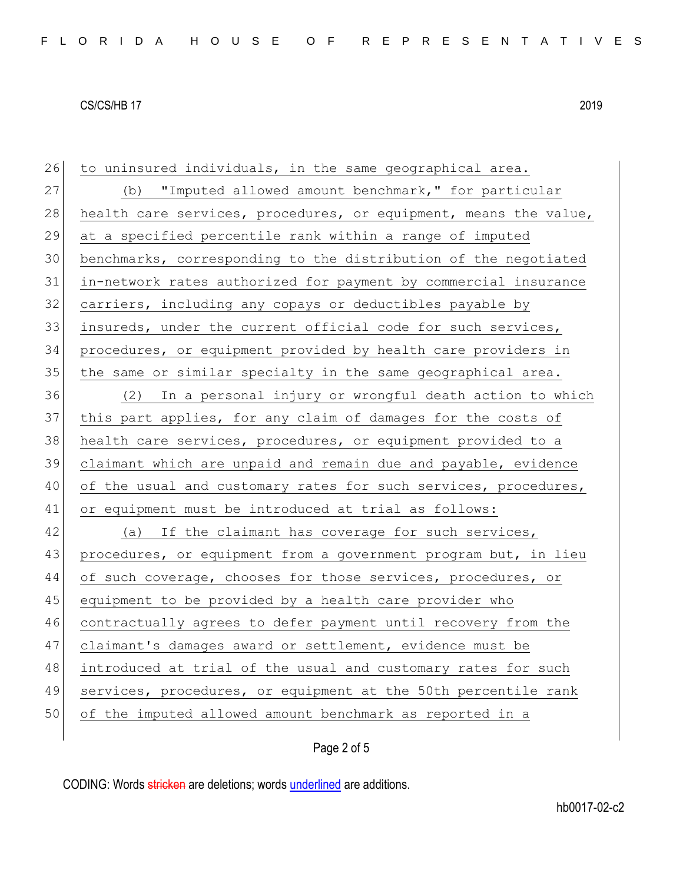26 to uninsured individuals, in the same geographical area. 27 (b) "Imputed allowed amount benchmark," for particular 28 health care services, procedures, or equipment, means the value, at a specified percentile rank within a range of imputed benchmarks, corresponding to the distribution of the negotiated in-network rates authorized for payment by commercial insurance carriers, including any copays or deductibles payable by insureds, under the current official code for such services, procedures, or equipment provided by health care providers in the same or similar specialty in the same geographical area. (2) In a personal injury or wrongful death action to which this part applies, for any claim of damages for the costs of 38 health care services, procedures, or equipment provided to a claimant which are unpaid and remain due and payable, evidence 40 of the usual and customary rates for such services, procedures, or equipment must be introduced at trial as follows: 42 (a) If the claimant has coverage for such services, 43 procedures, or equipment from a government program but, in lieu 44 of such coverage, chooses for those services, procedures, or 45 equipment to be provided by a health care provider who contractually agrees to defer payment until recovery from the claimant's damages award or settlement, evidence must be introduced at trial of the usual and customary rates for such

49 services, procedures, or equipment at the 50th percentile rank

50 of the imputed allowed amount benchmark as reported in a

Page 2 of 5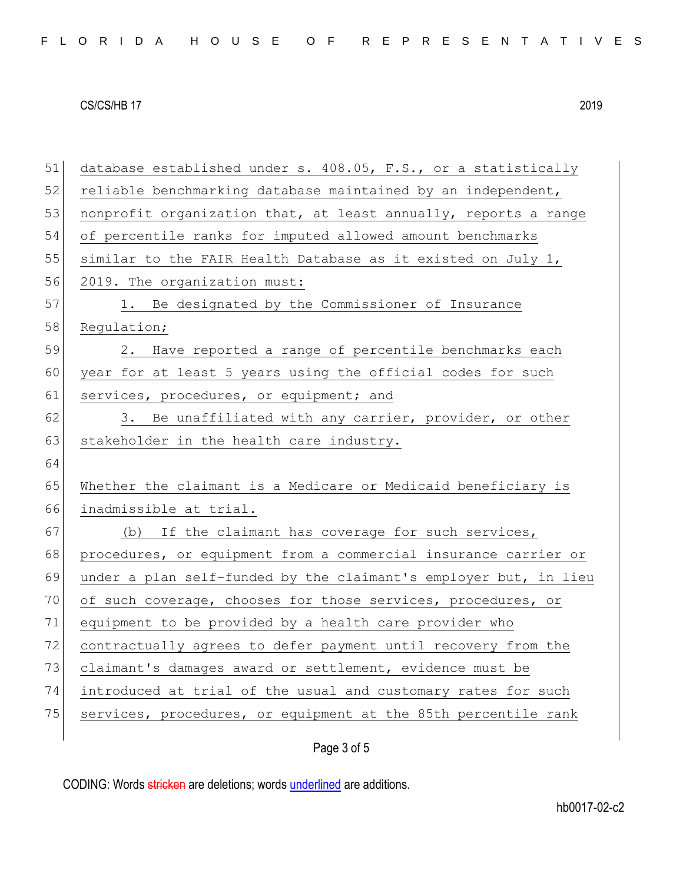| 51 | database established under s. 408.05, F.S., or a statistically   |
|----|------------------------------------------------------------------|
| 52 | reliable benchmarking database maintained by an independent,     |
| 53 | nonprofit organization that, at least annually, reports a range  |
| 54 | of percentile ranks for imputed allowed amount benchmarks        |
| 55 | similar to the FAIR Health Database as it existed on July 1,     |
| 56 | 2019. The organization must:                                     |
| 57 | 1. Be designated by the Commissioner of Insurance                |
| 58 | Regulation;                                                      |
| 59 | 2. Have reported a range of percentile benchmarks each           |
| 60 | year for at least 5 years using the official codes for such      |
| 61 | services, procedures, or equipment; and                          |
| 62 | 3. Be unaffiliated with any carrier, provider, or other          |
| 63 | stakeholder in the health care industry.                         |
| 64 |                                                                  |
| 65 | Whether the claimant is a Medicare or Medicaid beneficiary is    |
| 66 | inadmissible at trial.                                           |
| 67 | (b) If the claimant has coverage for such services,              |
| 68 | procedures, or equipment from a commercial insurance carrier or  |
| 69 | under a plan self-funded by the claimant's employer but, in lieu |
| 70 | of such coverage, chooses for those services, procedures, or     |
| 71 | equipment to be provided by a health care provider who           |
| 72 | contractually agrees to defer payment until recovery from the    |
| 73 | claimant's damages award or settlement, evidence must be         |
| 74 | introduced at trial of the usual and customary rates for such    |
| 75 | services, procedures, or equipment at the 85th percentile rank   |
|    | Page 3 of 5                                                      |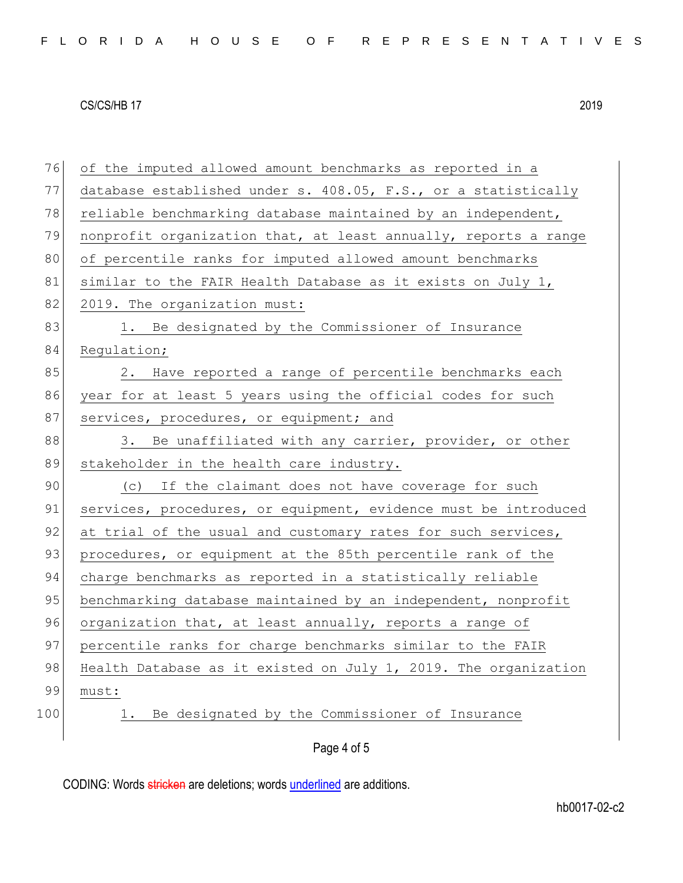| 76  | of the imputed allowed amount benchmarks as reported in a       |
|-----|-----------------------------------------------------------------|
| 77  | database established under s. 408.05, F.S., or a statistically  |
| 78  | reliable benchmarking database maintained by an independent,    |
| 79  | nonprofit organization that, at least annually, reports a range |
| 80  | of percentile ranks for imputed allowed amount benchmarks       |
| 81  | similar to the FAIR Health Database as it exists on July 1,     |
| 82  | 2019. The organization must:                                    |
| 83  | 1. Be designated by the Commissioner of Insurance               |
| 84  | Regulation;                                                     |
| 85  | 2. Have reported a range of percentile benchmarks each          |
| 86  | year for at least 5 years using the official codes for such     |
| 87  | services, procedures, or equipment; and                         |
| 88  | 3. Be unaffiliated with any carrier, provider, or other         |
| 89  | stakeholder in the health care industry.                        |
| 90  | (c) If the claimant does not have coverage for such             |
| 91  | services, procedures, or equipment, evidence must be introduced |
| 92  | at trial of the usual and customary rates for such services,    |
| 93  | procedures, or equipment at the 85th percentile rank of the     |
| 94  | charge benchmarks as reported in a statistically reliable       |
| 95  | benchmarking database maintained by an independent, nonprofit   |
| 96  | organization that, at least annually, reports a range of        |
| 97  | percentile ranks for charge benchmarks similar to the FAIR      |
| 98  | Health Database as it existed on July 1, 2019. The organization |
| 99  | must:                                                           |
| 100 | Be designated by the Commissioner of Insurance<br>$\perp$ .     |
|     |                                                                 |
|     | Page 4 of 5                                                     |